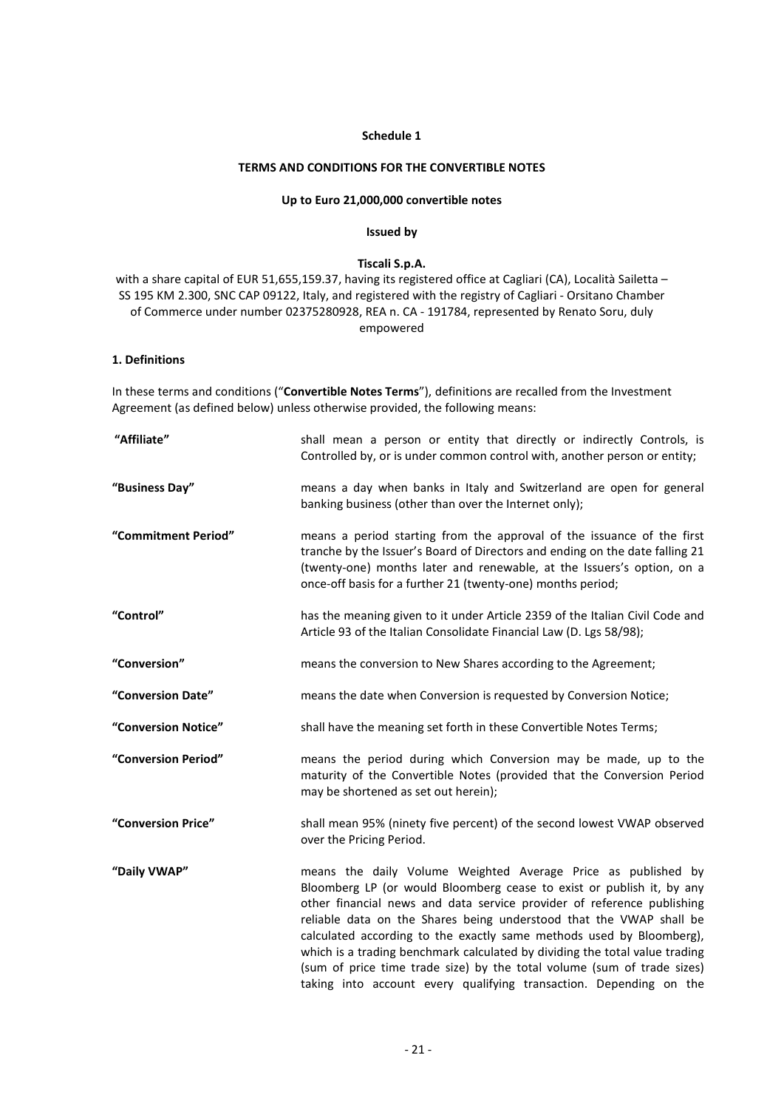### Schedule 1

# TERMS AND CONDITIONS FOR THE CONVERTIBLE NOTES

# Up to Euro 21,000,000 convertible notes

### Issued by

### Tiscali S.p.A.

with a share capital of EUR 51,655,159.37, having its registered office at Cagliari (CA), Località Sailetta – SS 195 KM 2.300, SNC CAP 09122, Italy, and registered with the registry of Cagliari - Orsitano Chamber of Commerce under number 02375280928, REA n. CA - 191784, represented by Renato Soru, duly empowered

# 1. Definitions

In these terms and conditions ("Convertible Notes Terms"), definitions are recalled from the Investment Agreement (as defined below) unless otherwise provided, the following means:

| "Affiliate"         | shall mean a person or entity that directly or indirectly Controls, is<br>Controlled by, or is under common control with, another person or entity;                                                                                                                                                                                                                                                                                                                                                                                                                                             |  |
|---------------------|-------------------------------------------------------------------------------------------------------------------------------------------------------------------------------------------------------------------------------------------------------------------------------------------------------------------------------------------------------------------------------------------------------------------------------------------------------------------------------------------------------------------------------------------------------------------------------------------------|--|
| "Business Day"      | means a day when banks in Italy and Switzerland are open for general<br>banking business (other than over the Internet only);                                                                                                                                                                                                                                                                                                                                                                                                                                                                   |  |
| "Commitment Period" | means a period starting from the approval of the issuance of the first<br>tranche by the Issuer's Board of Directors and ending on the date falling 21<br>(twenty-one) months later and renewable, at the Issuers's option, on a<br>once-off basis for a further 21 (twenty-one) months period;                                                                                                                                                                                                                                                                                                 |  |
| "Control"           | has the meaning given to it under Article 2359 of the Italian Civil Code and<br>Article 93 of the Italian Consolidate Financial Law (D. Lgs 58/98);                                                                                                                                                                                                                                                                                                                                                                                                                                             |  |
| "Conversion"        | means the conversion to New Shares according to the Agreement;                                                                                                                                                                                                                                                                                                                                                                                                                                                                                                                                  |  |
| "Conversion Date"   | means the date when Conversion is requested by Conversion Notice;                                                                                                                                                                                                                                                                                                                                                                                                                                                                                                                               |  |
| "Conversion Notice" | shall have the meaning set forth in these Convertible Notes Terms;                                                                                                                                                                                                                                                                                                                                                                                                                                                                                                                              |  |
| "Conversion Period" | means the period during which Conversion may be made, up to the<br>maturity of the Convertible Notes (provided that the Conversion Period<br>may be shortened as set out herein);                                                                                                                                                                                                                                                                                                                                                                                                               |  |
| "Conversion Price"  | shall mean 95% (ninety five percent) of the second lowest VWAP observed<br>over the Pricing Period.                                                                                                                                                                                                                                                                                                                                                                                                                                                                                             |  |
| "Daily VWAP"        | means the daily Volume Weighted Average Price as published by<br>Bloomberg LP (or would Bloomberg cease to exist or publish it, by any<br>other financial news and data service provider of reference publishing<br>reliable data on the Shares being understood that the VWAP shall be<br>calculated according to the exactly same methods used by Bloomberg),<br>which is a trading benchmark calculated by dividing the total value trading<br>(sum of price time trade size) by the total volume (sum of trade sizes)<br>taking into account every qualifying transaction. Depending on the |  |
|                     | $-21-$                                                                                                                                                                                                                                                                                                                                                                                                                                                                                                                                                                                          |  |
|                     |                                                                                                                                                                                                                                                                                                                                                                                                                                                                                                                                                                                                 |  |
|                     |                                                                                                                                                                                                                                                                                                                                                                                                                                                                                                                                                                                                 |  |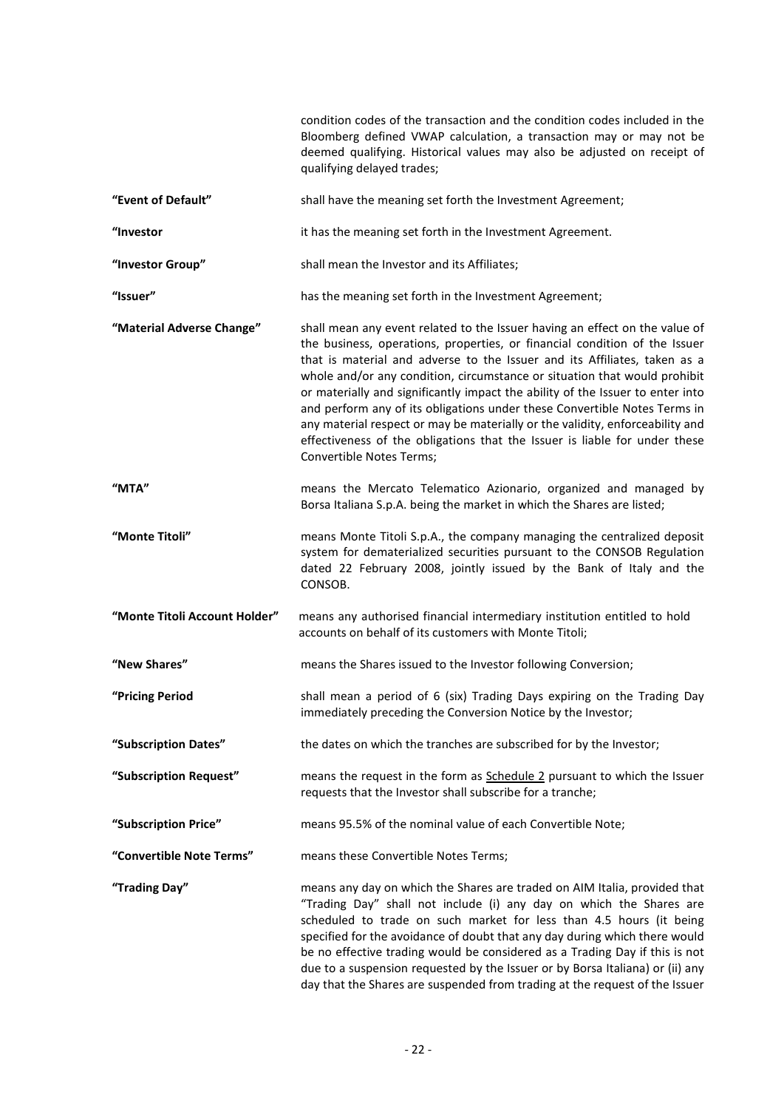| "Event of Default"<br>"Investor<br>"Investor Group"<br>"Issuer"<br>"Material Adverse Change"<br>"MTA" | shall have the meaning set forth the Investment Agreement;<br>it has the meaning set forth in the Investment Agreement.<br>shall mean the Investor and its Affiliates;<br>has the meaning set forth in the Investment Agreement;<br>shall mean any event related to the Issuer having an effect on the value of<br>the business, operations, properties, or financial condition of the Issuer<br>that is material and adverse to the Issuer and its Affiliates, taken as a<br>whole and/or any condition, circumstance or situation that would prohibit<br>or materially and significantly impact the ability of the Issuer to enter into<br>and perform any of its obligations under these Convertible Notes Terms in<br>any material respect or may be materially or the validity, enforceability and<br>effectiveness of the obligations that the Issuer is liable for under these<br>Convertible Notes Terms; |
|-------------------------------------------------------------------------------------------------------|-------------------------------------------------------------------------------------------------------------------------------------------------------------------------------------------------------------------------------------------------------------------------------------------------------------------------------------------------------------------------------------------------------------------------------------------------------------------------------------------------------------------------------------------------------------------------------------------------------------------------------------------------------------------------------------------------------------------------------------------------------------------------------------------------------------------------------------------------------------------------------------------------------------------|
|                                                                                                       |                                                                                                                                                                                                                                                                                                                                                                                                                                                                                                                                                                                                                                                                                                                                                                                                                                                                                                                   |
|                                                                                                       |                                                                                                                                                                                                                                                                                                                                                                                                                                                                                                                                                                                                                                                                                                                                                                                                                                                                                                                   |
|                                                                                                       |                                                                                                                                                                                                                                                                                                                                                                                                                                                                                                                                                                                                                                                                                                                                                                                                                                                                                                                   |
|                                                                                                       |                                                                                                                                                                                                                                                                                                                                                                                                                                                                                                                                                                                                                                                                                                                                                                                                                                                                                                                   |
|                                                                                                       |                                                                                                                                                                                                                                                                                                                                                                                                                                                                                                                                                                                                                                                                                                                                                                                                                                                                                                                   |
|                                                                                                       | means the Mercato Telematico Azionario, organized and managed by<br>Borsa Italiana S.p.A. being the market in which the Shares are listed;                                                                                                                                                                                                                                                                                                                                                                                                                                                                                                                                                                                                                                                                                                                                                                        |
| "Monte Titoli"                                                                                        | means Monte Titoli S.p.A., the company managing the centralized deposit<br>system for dematerialized securities pursuant to the CONSOB Regulation<br>dated 22 February 2008, jointly issued by the Bank of Italy and the<br>CONSOB.                                                                                                                                                                                                                                                                                                                                                                                                                                                                                                                                                                                                                                                                               |
| "Monte Titoli Account Holder"                                                                         | means any authorised financial intermediary institution entitled to hold<br>accounts on behalf of its customers with Monte Titoli;                                                                                                                                                                                                                                                                                                                                                                                                                                                                                                                                                                                                                                                                                                                                                                                |
| "New Shares"                                                                                          | means the Shares issued to the Investor following Conversion;                                                                                                                                                                                                                                                                                                                                                                                                                                                                                                                                                                                                                                                                                                                                                                                                                                                     |
| "Pricing Period                                                                                       | shall mean a period of 6 (six) Trading Days expiring on the Trading Day<br>immediately preceding the Conversion Notice by the Investor;                                                                                                                                                                                                                                                                                                                                                                                                                                                                                                                                                                                                                                                                                                                                                                           |
| "Subscription Dates"                                                                                  | the dates on which the tranches are subscribed for by the Investor;                                                                                                                                                                                                                                                                                                                                                                                                                                                                                                                                                                                                                                                                                                                                                                                                                                               |
| "Subscription Request"                                                                                | means the request in the form as Schedule 2 pursuant to which the Issuer<br>requests that the Investor shall subscribe for a tranche;                                                                                                                                                                                                                                                                                                                                                                                                                                                                                                                                                                                                                                                                                                                                                                             |
| "Subscription Price"                                                                                  | means 95.5% of the nominal value of each Convertible Note;                                                                                                                                                                                                                                                                                                                                                                                                                                                                                                                                                                                                                                                                                                                                                                                                                                                        |
| "Convertible Note Terms"                                                                              | means these Convertible Notes Terms;                                                                                                                                                                                                                                                                                                                                                                                                                                                                                                                                                                                                                                                                                                                                                                                                                                                                              |
| "Trading Day"                                                                                         | means any day on which the Shares are traded on AIM Italia, provided that<br>"Trading Day" shall not include (i) any day on which the Shares are<br>scheduled to trade on such market for less than 4.5 hours (it being<br>specified for the avoidance of doubt that any day during which there would<br>be no effective trading would be considered as a Trading Day if this is not<br>due to a suspension requested by the Issuer or by Borsa Italiana) or (ii) any<br>day that the Shares are suspended from trading at the request of the Issuer                                                                                                                                                                                                                                                                                                                                                              |
|                                                                                                       | $-22-$                                                                                                                                                                                                                                                                                                                                                                                                                                                                                                                                                                                                                                                                                                                                                                                                                                                                                                            |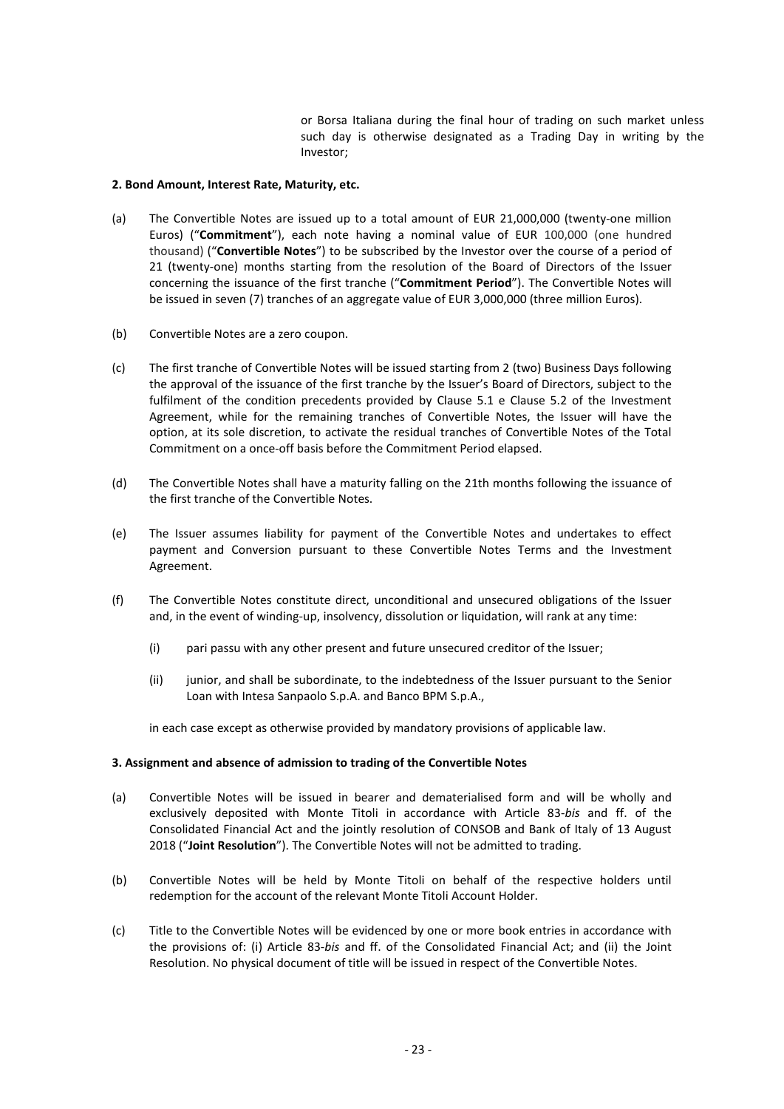or Borsa Italiana during the final hour of trading on such market unless such day is otherwise designated as a Trading Day in writing by the Investor;

### 2. Bond Amount, Interest Rate, Maturity, etc.

- (a) The Convertible Notes are issued up to a total amount of EUR 21,000,000 (twenty-one million Euros) ("Commitment"), each note having a nominal value of EUR 100,000 (one hundred thousand) ("Convertible Notes") to be subscribed by the Investor over the course of a period of 21 (twenty-one) months starting from the resolution of the Board of Directors of the Issuer concerning the issuance of the first tranche ("Commitment Period"). The Convertible Notes will be issued in seven (7) tranches of an aggregate value of EUR 3,000,000 (three million Euros).
- (b) Convertible Notes are a zero coupon.
- (c) The first tranche of Convertible Notes will be issued starting from 2 (two) Business Days following the approval of the issuance of the first tranche by the Issuer's Board of Directors, subject to the fulfilment of the condition precedents provided by Clause 5.1 e Clause 5.2 of the Investment Agreement, while for the remaining tranches of Convertible Notes, the Issuer will have the option, at its sole discretion, to activate the residual tranches of Convertible Notes of the Total Commitment on a once-off basis before the Commitment Period elapsed.
- (d) The Convertible Notes shall have a maturity falling on the 21th months following the issuance of the first tranche of the Convertible Notes.
- (e) The Issuer assumes liability for payment of the Convertible Notes and undertakes to effect payment and Conversion pursuant to these Convertible Notes Terms and the Investment Agreement.
- (f) The Convertible Notes constitute direct, unconditional and unsecured obligations of the Issuer and, in the event of winding-up, insolvency, dissolution or liquidation, will rank at any time:
	- (i) pari passu with any other present and future unsecured creditor of the Issuer;
	- (ii) junior, and shall be subordinate, to the indebtedness of the Issuer pursuant to the Senior Loan with Intesa Sanpaolo S.p.A. and Banco BPM S.p.A.,

in each case except as otherwise provided by mandatory provisions of applicable law.

## 3. Assignment and absence of admission to trading of the Convertible Notes

- andatory provisions of applicable law.<br> **the Convertible Notes**<br>
Ind dematerialised form and will be wholly and<br>
accordance with Article 83-*bis* and ff. of the<br>
lution of CONSOB and Bank of Italy of 13 August<br>
is will not (a) Convertible Notes will be issued in bearer and dematerialised form and will be wholly and exclusively deposited with Monte Titoli in accordance with Article 83-bis and ff. of the Consolidated Financial Act and the jointly resolution of CONSOB and Bank of Italy of 13 August 2018 ("Joint Resolution"). The Convertible Notes will not be admitted to trading.
- (b) Convertible Notes will be held by Monte Titoli on behalf of the respective holders until redemption for the account of the relevant Monte Titoli Account Holder.
- (c) Title to the Convertible Notes will be evidenced by one or more book entries in accordance with the provisions of: (i) Article 83-bis and ff. of the Consolidated Financial Act; and (ii) the Joint Resolution. No physical document of title will be issued in respect of the Convertible Notes.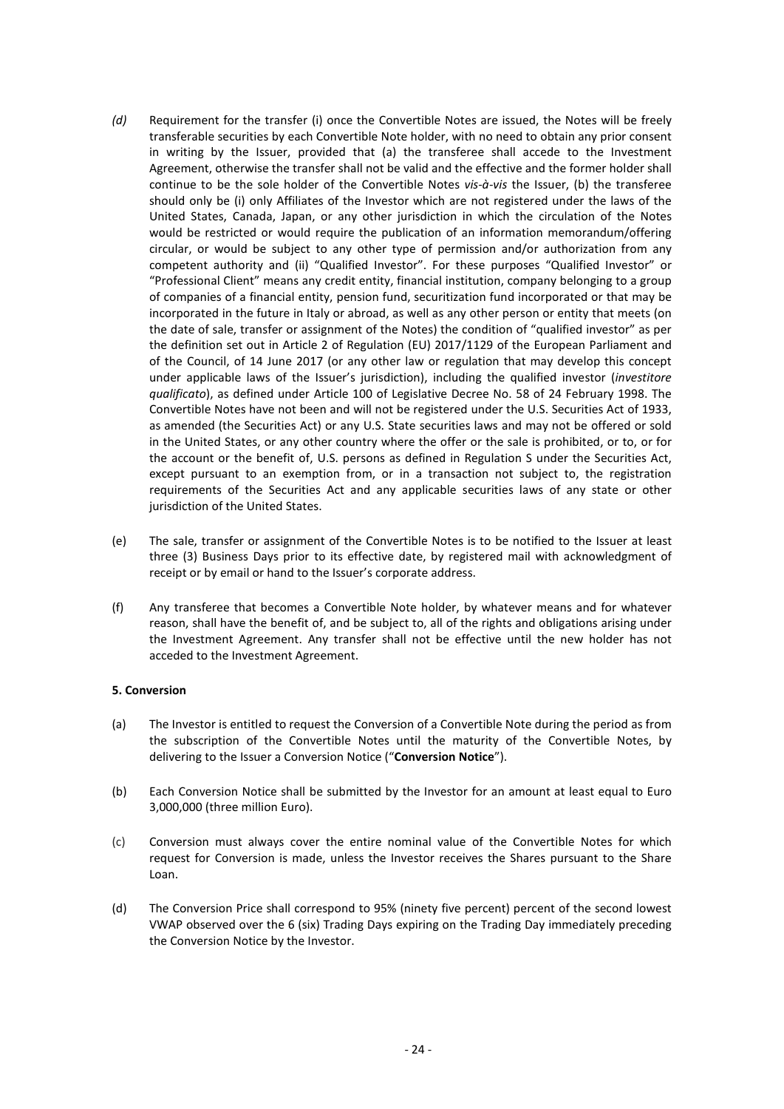- (d) Requirement for the transfer (i) once the Convertible Notes are issued, the Notes will be freely transferable securities by each Convertible Note holder, with no need to obtain any prior consent in writing by the Issuer, provided that (a) the transferee shall accede to the Investment Agreement, otherwise the transfer shall not be valid and the effective and the former holder shall continue to be the sole holder of the Convertible Notes vis- $\dot{a}$ -vis the Issuer. (b) the transferee should only be (i) only Affiliates of the Investor which are not registered under the laws of the United States, Canada, Japan, or any other jurisdiction in which the circulation of the Notes would be restricted or would require the publication of an information memorandum/offering circular, or would be subject to any other type of permission and/or authorization from any competent authority and (ii) "Qualified Investor". For these purposes "Qualified Investor" or "Professional Client" means any credit entity, financial institution, company belonging to a group of companies of a financial entity, pension fund, securitization fund incorporated or that may be incorporated in the future in Italy or abroad, as well as any other person or entity that meets (on the date of sale, transfer or assignment of the Notes) the condition of "qualified investor" as per the definition set out in Article 2 of Regulation (EU) 2017/1129 of the European Parliament and of the Council, of 14 June 2017 (or any other law or regulation that may develop this concept under applicable laws of the Issuer's jurisdiction), including the qualified investor (investitore qualificato), as defined under Article 100 of Legislative Decree No. 58 of 24 February 1998. The Convertible Notes have not been and will not be registered under the U.S. Securities Act of 1933, as amended (the Securities Act) or any U.S. State securities laws and may not be offered or sold in the United States, or any other country where the offer or the sale is prohibited, or to, or for the account or the benefit of, U.S. persons as defined in Regulation S under the Securities Act, except pursuant to an exemption from, or in a transaction not subject to, the registration requirements of the Securities Act and any applicable securities laws of any state or other jurisdiction of the United States.
- (e) The sale, transfer or assignment of the Convertible Notes is to be notified to the Issuer at least three (3) Business Days prior to its effective date, by registered mail with acknowledgment of receipt or by email or hand to the Issuer's corporate address.
- (f) Any transferee that becomes a Convertible Note holder, by whatever means and for whatever reason, shall have the benefit of, and be subject to, all of the rights and obligations arising under the Investment Agreement. Any transfer shall not be effective until the new holder has not acceded to the Investment Agreement.

## 5. Conversion

- (a) The Investor is entitled to request the Conversion of a Convertible Note during the period as from the subscription of the Convertible Notes until the maturity of the Convertible Notes, by delivering to the Issuer a Conversion Notice ("Conversion Notice").
- (b) Each Conversion Notice shall be submitted by the Investor for an amount at least equal to Euro 3,000,000 (three million Euro).
- on of a Convertible Note during the period as from<br>tril the maturity of the Convertible Notes, by<br>**onversion Notice**").<br>the Investor for an amount at least equal to Euro<br>minal value of the Convertible Notes for which<br>minal (c) Conversion must always cover the entire nominal value of the Convertible Notes for which request for Conversion is made, unless the Investor receives the Shares pursuant to the Share Loan.
- (d) The Conversion Price shall correspond to 95% (ninety five percent) percent of the second lowest VWAP observed over the 6 (six) Trading Days expiring on the Trading Day immediately preceding the Conversion Notice by the Investor.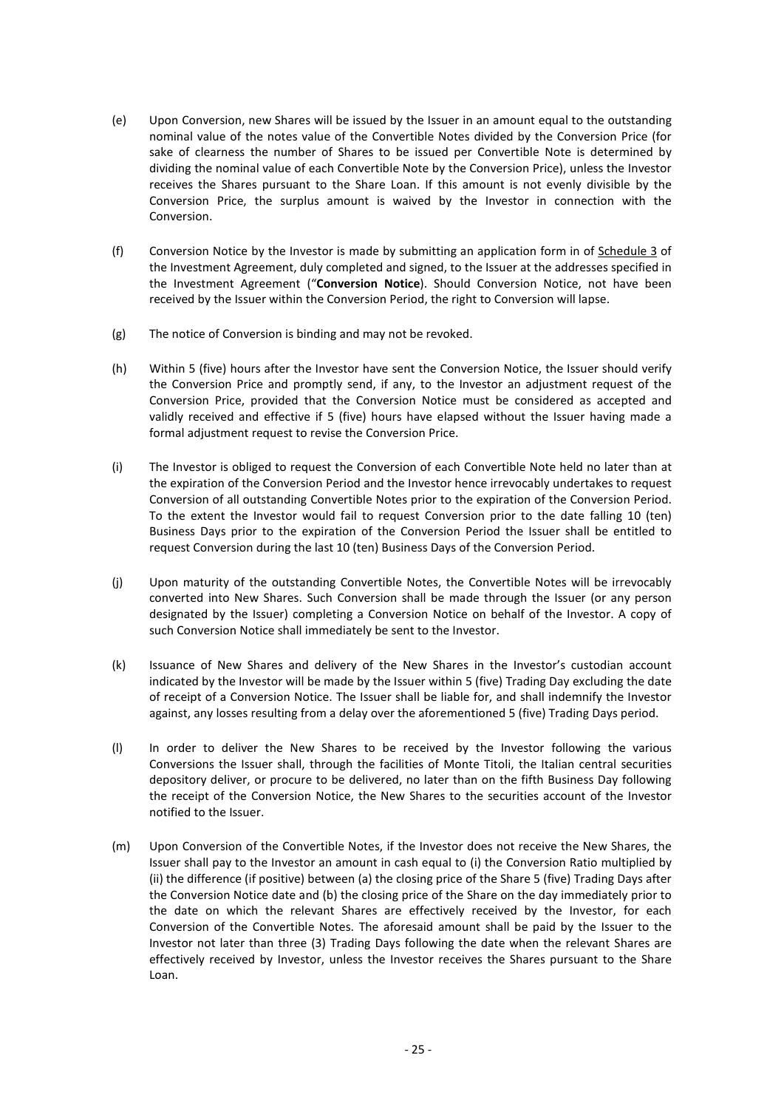- (e) Upon Conversion, new Shares will be issued by the Issuer in an amount equal to the outstanding<br>nominal value of the notes value of the Convertible Notes divided by the Conversion Price (for<br>sake of clearness the number nominal value of the notes value of the Convertible Notes divided by the Conversion Price (for sake of clearness the number of Shares to be issued per Convertible Note is determined by dividing the nominal value of each Convertible Note by the Conversion Price), unless the Investor receives the Shares pursuant to the Share Loan. If this amount is not evenly divisible by the Conversion Price, the surplus amount is waived by the Investor in connection with the Conversion.
- (f) Conversion Notice by the Investor is made by submitting an application form in of Schedule 3 of the Investment Agreement, duly completed and signed, to the Issuer at the addresses specified in the Investment Agreement ("Conversion Notice). Should Conversion Notice, not have been received by the Issuer within the Conversion Period, the right to Conversion will lapse.
- (g) The notice of Conversion is binding and may not be revoked.
- (h) Within 5 (five) hours after the Investor have sent the Conversion Notice, the Issuer should verify the Conversion Price and promptly send, if any, to the Investor an adjustment request of the Conversion Price, provided that the Conversion Notice must be considered as accepted and validly received and effective if 5 (five) hours have elapsed without the Issuer having made a formal adjustment request to revise the Conversion Price.
- (i) The Investor is obliged to request the Conversion of each Convertible Note held no later than at the expiration of the Conversion Period and the Investor hence irrevocably undertakes to request Conversion of all outstanding Convertible Notes prior to the expiration of the Conversion Period. To the extent the Investor would fail to request Conversion prior to the date falling 10 (ten) Business Days prior to the expiration of the Conversion Period the Issuer shall be entitled to request Conversion during the last 10 (ten) Business Days of the Conversion Period.
- (j) Upon maturity of the outstanding Convertible Notes, the Convertible Notes will be irrevocably converted into New Shares. Such Conversion shall be made through the Issuer (or any person designated by the Issuer) completing a Conversion Notice on behalf of the Investor. A copy of such Conversion Notice shall immediately be sent to the Investor.
- (k) Issuance of New Shares and delivery of the New Shares in the Investor's custodian account indicated by the Investor will be made by the Issuer within 5 (five) Trading Day excluding the date of receipt of a Conversion Notice. The Issuer shall be liable for, and shall indemnify the Investor against, any losses resulting from a delay over the aforementioned 5 (five) Trading Days period.
- (l) In order to deliver the New Shares to be received by the Investor following the various Conversions the Issuer shall, through the facilities of Monte Titoli, the Italian central securities depository deliver, or procure to be delivered, no later than on the fifth Business Day following the receipt of the Conversion Notice, the New Shares to the securities account of the Investor notified to the Issuer.
- received by the Investor following the various<br>ties of Monte Titoli, the Italian central securities<br>no later than on the fifth Business Day following<br>Shares to the securities account of the Investor<br>he Investor does not re (m) Upon Conversion of the Convertible Notes, if the Investor does not receive the New Shares, the Issuer shall pay to the Investor an amount in cash equal to (i) the Conversion Ratio multiplied by (ii) the difference (if positive) between (a) the closing price of the Share 5 (five) Trading Days after the Conversion Notice date and (b) the closing price of the Share on the day immediately prior to the date on which the relevant Shares are effectively received by the Investor, for each Conversion of the Convertible Notes. The aforesaid amount shall be paid by the Issuer to the Investor not later than three (3) Trading Days following the date when the relevant Shares are effectively received by Investor, unless the Investor receives the Shares pursuant to the Share Loan.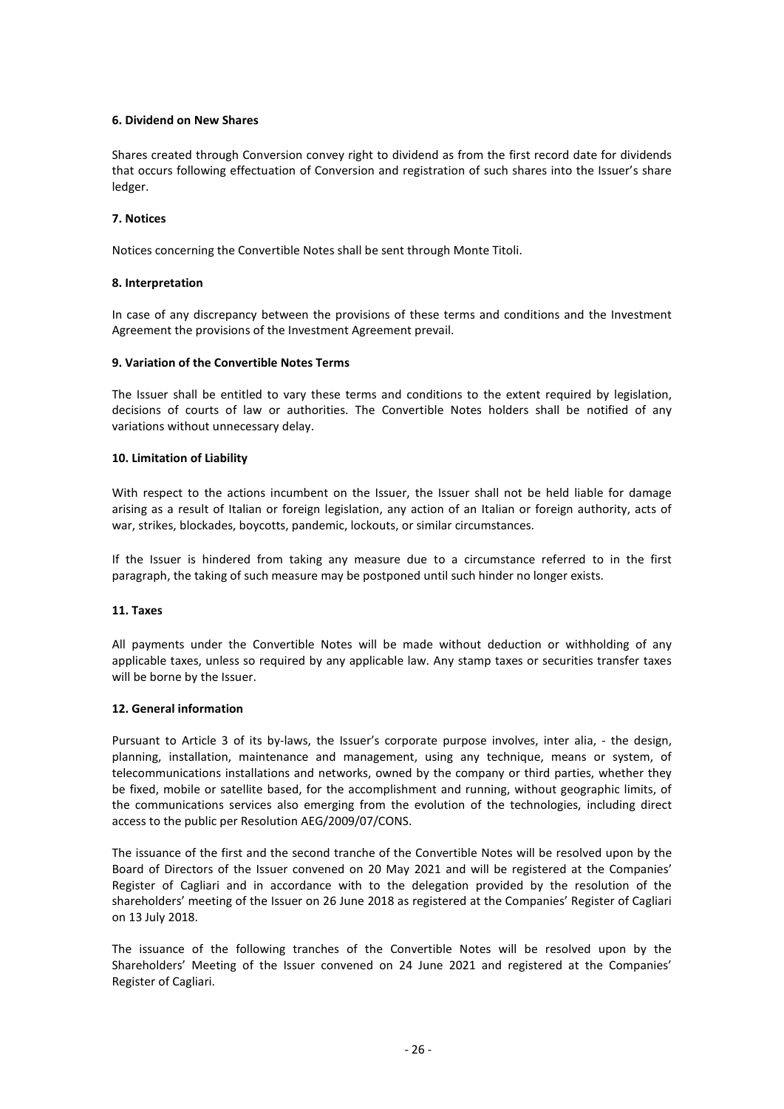### 6. Dividend on New Shares

Shares created through Conversion convey right to dividend as from the first record date for dividends that occurs following effectuation of Conversion and registration of such shares into the Issuer's share ledger.

### 7. Notices

Notices concerning the Convertible Notes shall be sent through Monte Titoli.

### 8. Interpretation

In case of any discrepancy between the provisions of these terms and conditions and the Investment Agreement the provisions of the Investment Agreement prevail.

### 9. Variation of the Convertible Notes Terms

The Issuer shall be entitled to vary these terms and conditions to the extent required by legislation, decisions of courts of law or authorities. The Convertible Notes holders shall be notified of any variations without unnecessary delay.

### 10. Limitation of Liability

With respect to the actions incumbent on the Issuer, the Issuer shall not be held liable for damage arising as a result of Italian or foreign legislation, any action of an Italian or foreign authority, acts of war, strikes, blockades, boycotts, pandemic, lockouts, or similar circumstances.

If the Issuer is hindered from taking any measure due to a circumstance referred to in the first paragraph, the taking of such measure may be postponed until such hinder no longer exists.

#### 11. Taxes

All payments under the Convertible Notes will be made without deduction or withholding of any applicable taxes, unless so required by any applicable law. Any stamp taxes or securities transfer taxes will be borne by the Issuer.

#### 12. General information

provide purpose involves, inter alia, - the design,<br>th, using any technique, means or system, of<br>d by the company or third parties, whether they<br>nment and running, without geographic limits, of<br>e evolution of the technolog Pursuant to Article 3 of its by-laws, the Issuer's corporate purpose involves, inter alia, - the design, planning, installation, maintenance and management, using any technique, means or system, of telecommunications installations and networks, owned by the company or third parties, whether they be fixed, mobile or satellite based, for the accomplishment and running, without geographic limits, of the communications services also emerging from the evolution of the technologies, including direct access to the public per Resolution AEG/2009/07/CONS.

The issuance of the first and the second tranche of the Convertible Notes will be resolved upon by the Board of Directors of the Issuer convened on 20 May 2021 and will be registered at the Companies' Register of Cagliari and in accordance with to the delegation provided by the resolution of the shareholders' meeting of the Issuer on 26 June 2018 as registered at the Companies' Register of Cagliari on 13 July 2018.

The issuance of the following tranches of the Convertible Notes will be resolved upon by the Shareholders' Meeting of the Issuer convened on 24 June 2021 and registered at the Companies' Register of Cagliari.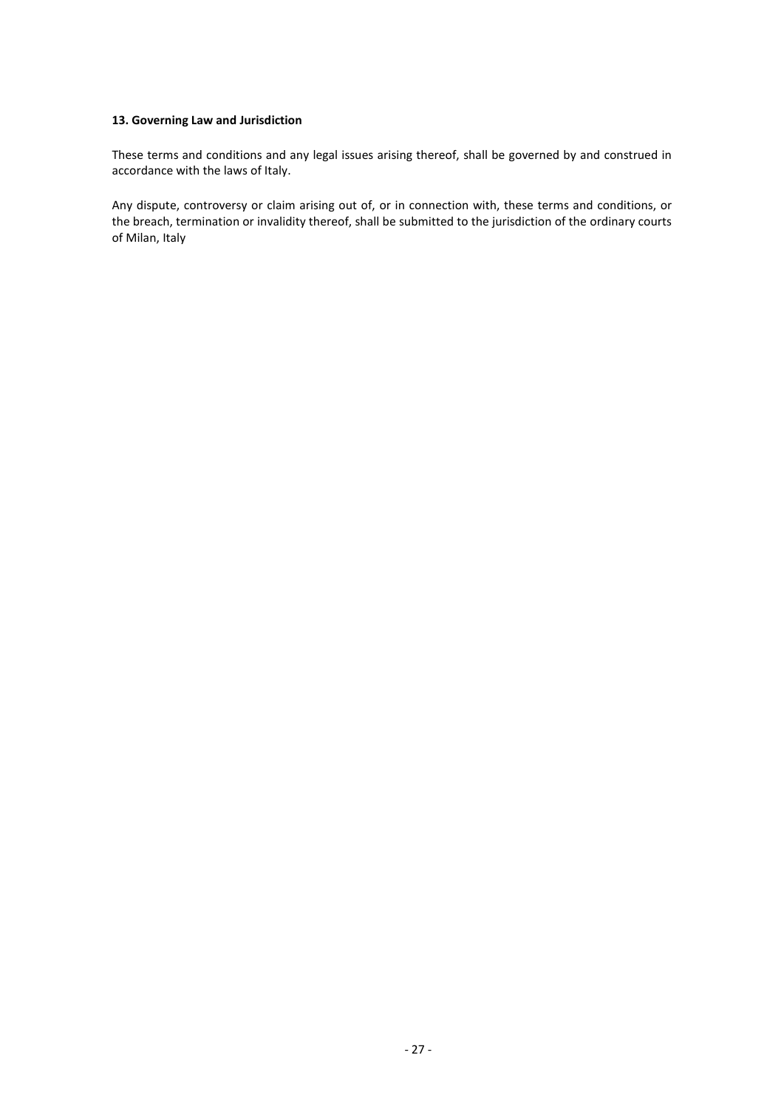### 13. Governing Law and Jurisdiction

These terms and conditions and any legal issues arising thereof, shall be governed by and construed in accordance with the laws of Italy.

Any dispute, controversy or claim arising out of, or in connection with, these terms and conditions, or the breach, termination or invalidity thereof, shall be submitted to the jurisdiction of the ordinary courts of Milan, Italy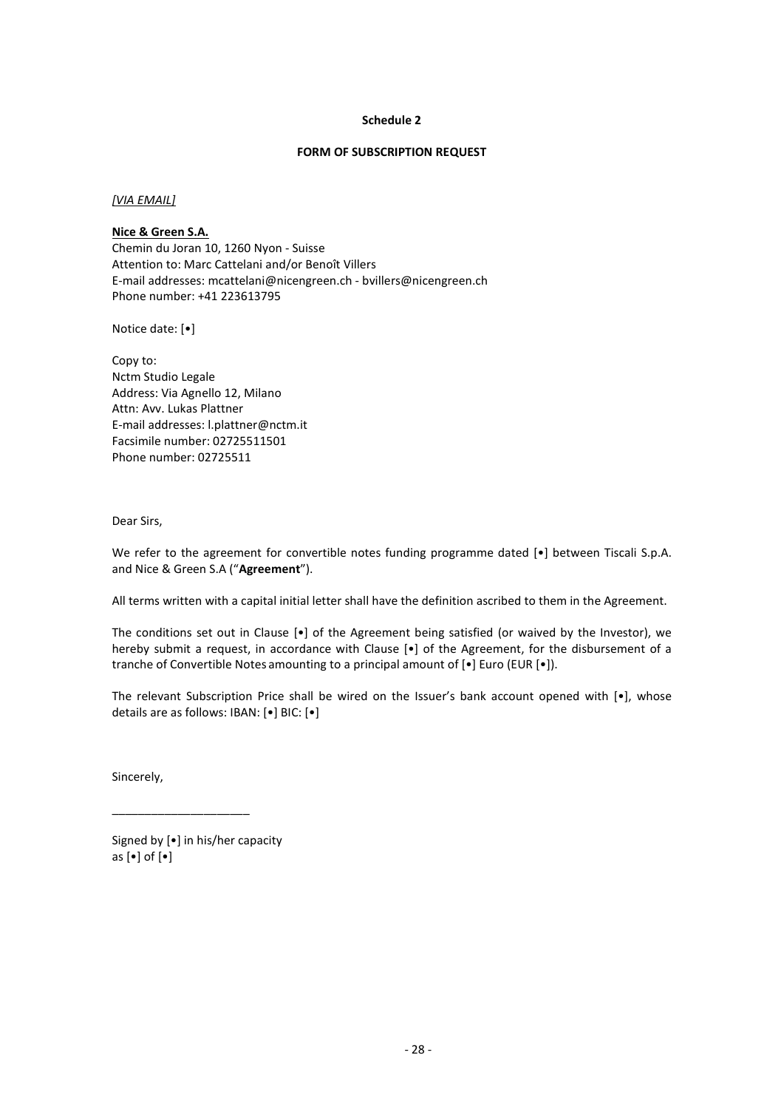### Schedule 2

#### FORM OF SUBSCRIPTION REQUEST

### [VIA EMAIL]

## Nice & Green S.A.

Schedule 2<br>
FORM OF SUBSCRIPTION REQUEST<br>
<u>Nice & Green S.A.</u><br>
Chemin du Joran 10, 1260 Nyon - Suisse<br>
Chemin du Joran 10, 1260 Nyon - Suisse<br>
E-mail addresses: mcattelani and/or Benoît Villers<br>
E-mail addresses: mcattelan Attention to: Marc Cattelani and/or Benoît Villers E-mail addresses: mcattelani@nicengreen.ch - bvillers@nicengreen.ch Phone number: +41 223613795

Notice date: [•]

Copy to: Nctm Studio Legale Address: Via Agnello 12, Milano Attn: Avv. Lukas Plattner E-mail addresses: l.plattner@nctm.it Facsimile number: 02725511501 Phone number: 02725511

Dear Sirs,

We refer to the agreement for convertible notes funding programme dated [ $\bullet$ ] between Tiscali S.p.A. and Nice & Green S.A ("Agreement").

All terms written with a capital initial letter shall have the definition ascribed to them in the Agreement.

The conditions set out in Clause [•] of the Agreement being satisfied (or waived by the Investor), we hereby submit a request, in accordance with Clause [•] of the Agreement, for the disbursement of a Copy to:<br>Copy to:<br>Actin Studio Legale 12, Milano<br>Actin: Avv. Lukas Plattner<br>E-mail addresses: I. plattner@nctm.it<br>Actin: Avv. Lukas Plattner<br>Mone number: 02725511501<br>Dena Sirs,<br>And Nice & Green S.A ("**Agreement"**).<br>And Nic

- 28 - The relevant Subscription Price shall be wired on the Issuer's bank account opened with [•], whose details are as follows: IBAN: [•] BIC: [•]

Sincerely, \_\_\_\_\_\_\_\_\_\_\_\_\_\_\_\_\_\_\_\_\_ Signed by [•] in his/her capacity as [•] of [•]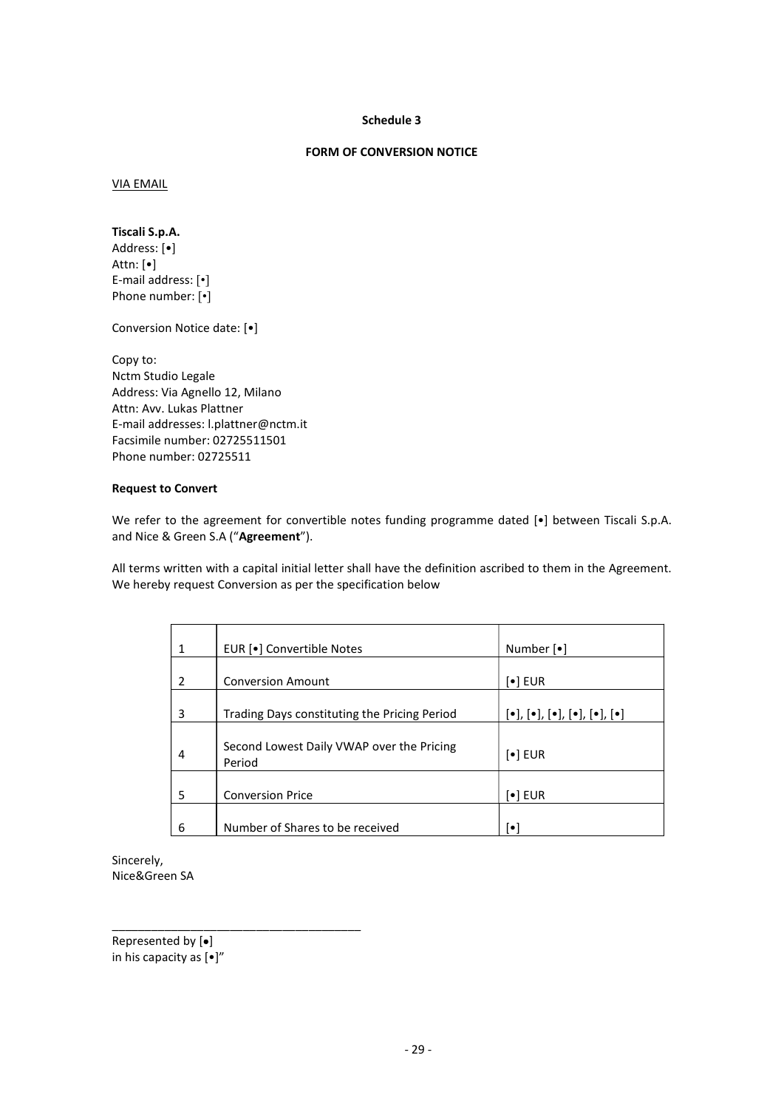#### Schedule 3

## FORM OF CONVERSION NOTICE

VIA EMAIL

Tiscali S.p.A. Address: [•] Attn: [•] E-mail address: [•] Phone number: [•]

Conversion Notice date: [•]

Copy to: Nctm Studio Legale Address: Via Agnello 12, Milano Attn: Avv. Lukas Plattner E-mail addresses: l.plattner@nctm.it Facsimile number: 02725511501 Phone number: 02725511

### Request to Convert

We refer to the agreement for convertible notes funding programme dated [ $\bullet$ ] between Tiscali S.p.A. and Nice & Green S.A ("Agreement").

All terms written with a capital initial letter shall have the definition ascribed to them in the Agreement. We hereby request Conversion as per the specification below

| lio Legale<br>ia Agnello 12, Milano<br>Lukas Plattner<br>dresses: I.plattner@nctm.it<br>number: 02725511501<br>nber: 02725511<br>o Convert<br>to the agreement for convertible notes funding programme dated [.] between Tiscali S.p.A.<br>& Green S.A ("Agreement").<br>written with a capital initial letter shall have the definition ascribed to them in the Agreement.<br>y request Conversion as per the specification below<br>EUR [•] Convertible Notes<br>Number [•]<br>$\mathbf{1}$<br><b>Conversion Amount</b><br>$[\bullet]$ EUR<br>$\overline{2}$<br>Trading Days constituting the Pricing Period<br>$[\bullet], [\bullet], [\bullet], [\bullet], [\bullet], [\bullet]$<br>$\mathbf{3}$<br>Second Lowest Daily VWAP over the Pricing<br>$\left[\bullet\right]$ EUR<br>$\overline{\mathbf{4}}$<br>Period<br><b>Conversion Price</b><br>$[\bullet]$ EUR<br>5<br>Number of Shares to be received<br>6<br>$[\bullet]$<br>en SA<br>ed by [•]<br>$\text{ncity as } [\bullet]''$<br>$-29-$ |  | n Notice date: [•] |  |
|--------------------------------------------------------------------------------------------------------------------------------------------------------------------------------------------------------------------------------------------------------------------------------------------------------------------------------------------------------------------------------------------------------------------------------------------------------------------------------------------------------------------------------------------------------------------------------------------------------------------------------------------------------------------------------------------------------------------------------------------------------------------------------------------------------------------------------------------------------------------------------------------------------------------------------------------------------------------------------------------------|--|--------------------|--|
|                                                                                                                                                                                                                                                                                                                                                                                                                                                                                                                                                                                                                                                                                                                                                                                                                                                                                                                                                                                                  |  |                    |  |
|                                                                                                                                                                                                                                                                                                                                                                                                                                                                                                                                                                                                                                                                                                                                                                                                                                                                                                                                                                                                  |  |                    |  |
|                                                                                                                                                                                                                                                                                                                                                                                                                                                                                                                                                                                                                                                                                                                                                                                                                                                                                                                                                                                                  |  |                    |  |
|                                                                                                                                                                                                                                                                                                                                                                                                                                                                                                                                                                                                                                                                                                                                                                                                                                                                                                                                                                                                  |  |                    |  |
|                                                                                                                                                                                                                                                                                                                                                                                                                                                                                                                                                                                                                                                                                                                                                                                                                                                                                                                                                                                                  |  |                    |  |
|                                                                                                                                                                                                                                                                                                                                                                                                                                                                                                                                                                                                                                                                                                                                                                                                                                                                                                                                                                                                  |  |                    |  |
|                                                                                                                                                                                                                                                                                                                                                                                                                                                                                                                                                                                                                                                                                                                                                                                                                                                                                                                                                                                                  |  |                    |  |
|                                                                                                                                                                                                                                                                                                                                                                                                                                                                                                                                                                                                                                                                                                                                                                                                                                                                                                                                                                                                  |  |                    |  |
|                                                                                                                                                                                                                                                                                                                                                                                                                                                                                                                                                                                                                                                                                                                                                                                                                                                                                                                                                                                                  |  |                    |  |
|                                                                                                                                                                                                                                                                                                                                                                                                                                                                                                                                                                                                                                                                                                                                                                                                                                                                                                                                                                                                  |  |                    |  |
|                                                                                                                                                                                                                                                                                                                                                                                                                                                                                                                                                                                                                                                                                                                                                                                                                                                                                                                                                                                                  |  |                    |  |
|                                                                                                                                                                                                                                                                                                                                                                                                                                                                                                                                                                                                                                                                                                                                                                                                                                                                                                                                                                                                  |  |                    |  |
|                                                                                                                                                                                                                                                                                                                                                                                                                                                                                                                                                                                                                                                                                                                                                                                                                                                                                                                                                                                                  |  |                    |  |
|                                                                                                                                                                                                                                                                                                                                                                                                                                                                                                                                                                                                                                                                                                                                                                                                                                                                                                                                                                                                  |  |                    |  |
|                                                                                                                                                                                                                                                                                                                                                                                                                                                                                                                                                                                                                                                                                                                                                                                                                                                                                                                                                                                                  |  |                    |  |

Sincerely, Nice&Green SA \_\_\_\_\_\_\_\_\_\_\_\_\_\_\_\_\_\_\_\_\_\_\_\_\_\_\_\_\_\_\_\_\_\_\_\_\_\_

Represented by  $[•]$ in his capacity as [•]"